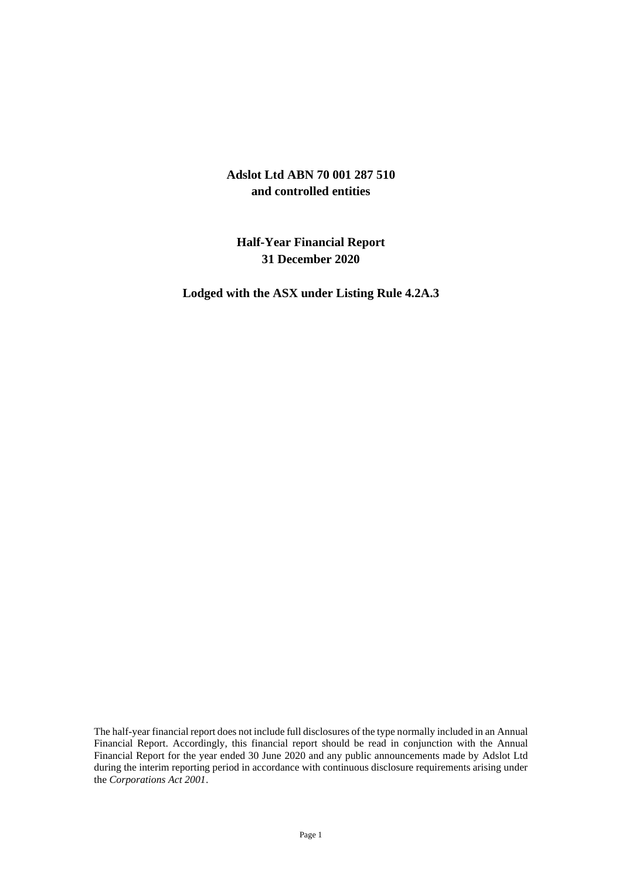# **Adslot Ltd ABN 70 001 287 510 and controlled entities**

# **Half-Year Financial Report 31 December 2020**

**Lodged with the ASX under Listing Rule 4.2A.3**

The half-year financial report does not include full disclosures of the type normally included in an Annual Financial Report. Accordingly, this financial report should be read in conjunction with the Annual Financial Report for the year ended 30 June 2020 and any public announcements made by Adslot Ltd during the interim reporting period in accordance with continuous disclosure requirements arising under the *Corporations Act 2001*.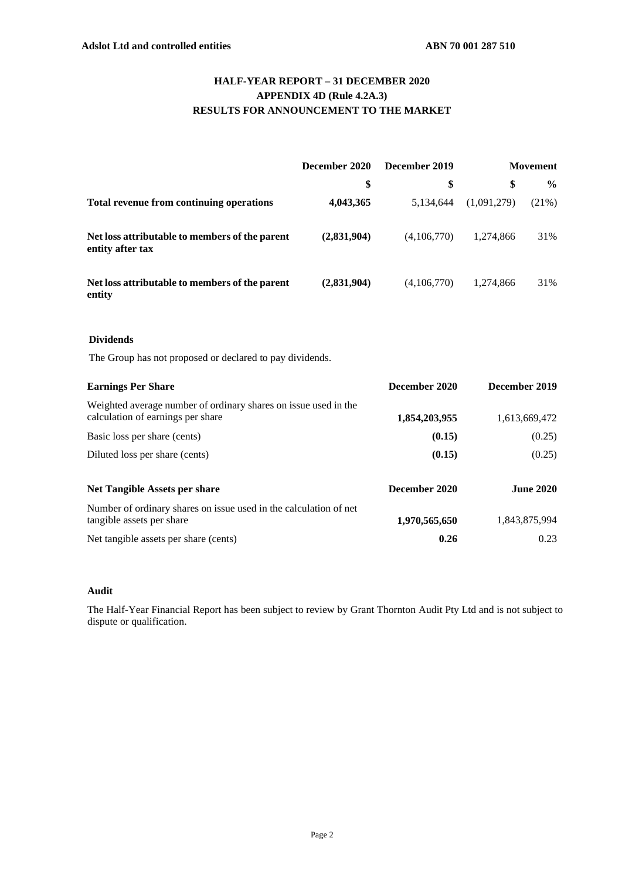## **HALF-YEAR REPORT – 31 DECEMBER 2020 APPENDIX 4D (Rule 4.2A.3) RESULTS FOR ANNOUNCEMENT TO THE MARKET**

|                                                                              | December 2020 | December 2019 | <b>Movement</b> |               |  |
|------------------------------------------------------------------------------|---------------|---------------|-----------------|---------------|--|
|                                                                              | \$            | \$            | \$              | $\frac{6}{6}$ |  |
| Total revenue from continuing operations                                     | 4,043,365     | 5,134,644     | (1,091,279)     | $(21\%)$      |  |
| Net loss attributable to members of the parent<br>entity after tax           | (2,831,904)   | (4,106,770)   | 1,274,866       | 31%           |  |
| Net loss attributable to members of the parent<br>entity                     | (2,831,904)   | (4,106,770)   | 1,274,866       | 31%           |  |
| <b>Dividends</b><br>The Group has not proposed or declared to pay dividends. |               |               |                 |               |  |
| <b>Earnings Per Share</b>                                                    |               | December 2020 |                 | December 2019 |  |

| Weighted average number of ordinary shares on issue used in the<br>calculation of earnings per share | 1,854,203,955 | 1,613,669,472    |
|------------------------------------------------------------------------------------------------------|---------------|------------------|
| Basic loss per share (cents)                                                                         | (0.15)        | (0.25)           |
| Diluted loss per share (cents)                                                                       | (0.15)        | (0.25)           |
| <b>Net Tangible Assets per share</b>                                                                 | December 2020 | <b>June 2020</b> |
| Number of ordinary shares on issue used in the calculation of net<br>tangible assets per share       | 1,970,565,650 | 1,843,875,994    |
| Net tangible assets per share (cents)                                                                | 0.26          | 0.23             |

## **Audit**

The Half-Year Financial Report has been subject to review by Grant Thornton Audit Pty Ltd and is not subject to dispute or qualification.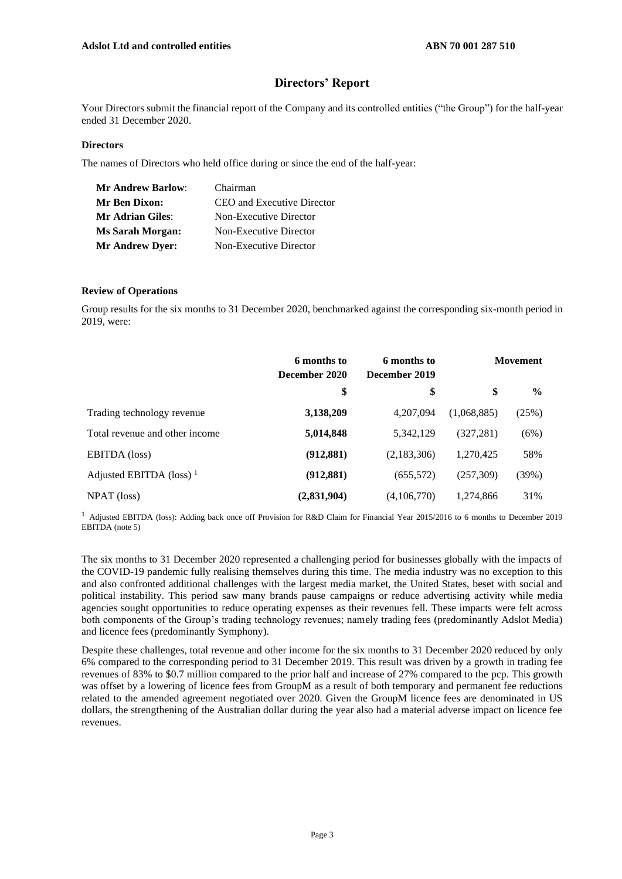## **Directors' Report**

Your Directors submit the financial report of the Company and its controlled entities ("the Group") for the half-year ended 31 December 2020.

#### **Directors**

The names of Directors who held office during or since the end of the half-year:

| <b>Mr Andrew Barlow:</b> | Chairman                   |
|--------------------------|----------------------------|
| Mr Ben Dixon:            | CEO and Executive Director |
| <b>Mr Adrian Giles:</b>  | Non-Executive Director     |
| <b>Ms Sarah Morgan:</b>  | Non-Executive Director     |
| <b>Mr Andrew Dyer:</b>   | Non-Executive Director     |

#### **Review of Operations**

Group results for the six months to 31 December 2020, benchmarked against the corresponding six-month period in 2019, were:

|                                     | 6 months to<br>December 2020 | 6 months to<br>December 2019 |             | <b>Movement</b> |
|-------------------------------------|------------------------------|------------------------------|-------------|-----------------|
|                                     | \$                           | \$                           | \$          | $\frac{6}{9}$   |
| Trading technology revenue          | 3,138,209                    | 4,207,094                    | (1,068,885) | (25%)           |
| Total revenue and other income      | 5,014,848                    | 5,342,129                    | (327, 281)  | (6%)            |
| <b>EBITDA</b> (loss)                | (912, 881)                   | (2,183,306)                  | 1,270,425   | 58%             |
| Adjusted EBITDA (loss) <sup>1</sup> | (912, 881)                   | (655, 572)                   | (257, 309)  | (39%)           |
| NPAT (loss)                         | (2,831,904)                  | (4,106,770)                  | 1,274,866   | 31%             |

<sup>1</sup> Adjusted EBITDA (loss): Adding back once off Provision for R&D Claim for Financial Year 2015/2016 to 6 months to December 2019 EBITDA (note 5)

The six months to 31 December 2020 represented a challenging period for businesses globally with the impacts of the COVID-19 pandemic fully realising themselves during this time. The media industry was no exception to this and also confronted additional challenges with the largest media market, the United States, beset with social and political instability. This period saw many brands pause campaigns or reduce advertising activity while media agencies sought opportunities to reduce operating expenses as their revenues fell. These impacts were felt across both components of the Group's trading technology revenues; namely trading fees (predominantly Adslot Media) and licence fees (predominantly Symphony).

Despite these challenges, total revenue and other income for the six months to 31 December 2020 reduced by only 6% compared to the corresponding period to 31 December 2019. This result was driven by a growth in trading fee revenues of 83% to \$0.7 million compared to the prior half and increase of 27% compared to the pcp. This growth was offset by a lowering of licence fees from GroupM as a result of both temporary and permanent fee reductions related to the amended agreement negotiated over 2020. Given the GroupM licence fees are denominated in US dollars, the strengthening of the Australian dollar during the year also had a material adverse impact on licence fee revenues.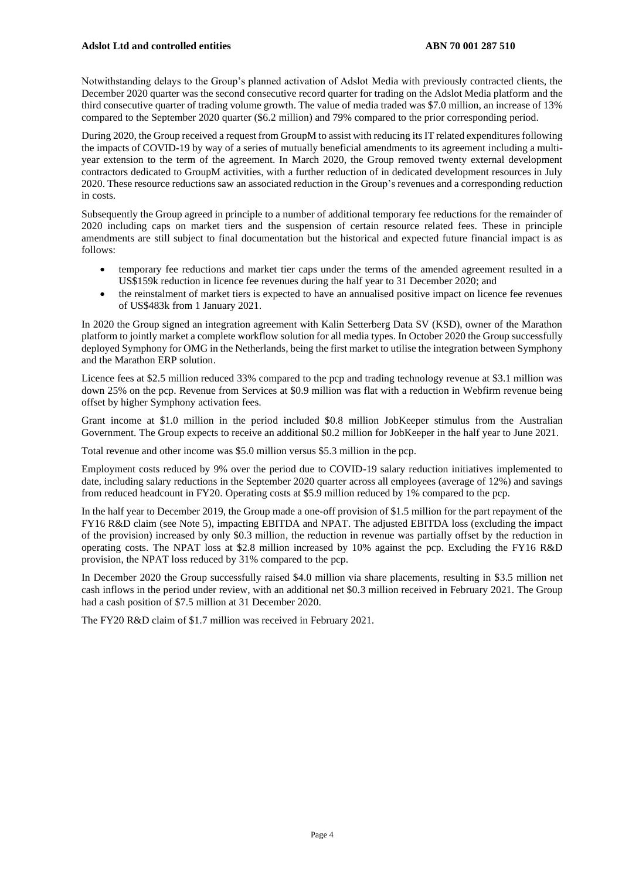Notwithstanding delays to the Group's planned activation of Adslot Media with previously contracted clients, the December 2020 quarter was the second consecutive record quarter for trading on the Adslot Media platform and the third consecutive quarter of trading volume growth. The value of media traded was \$7.0 million, an increase of 13% compared to the September 2020 quarter (\$6.2 million) and 79% compared to the prior corresponding period.

During 2020, the Group received a request from GroupM to assist with reducing its IT related expenditures following the impacts of COVID-19 by way of a series of mutually beneficial amendments to its agreement including a multiyear extension to the term of the agreement. In March 2020, the Group removed twenty external development contractors dedicated to GroupM activities, with a further reduction of in dedicated development resources in July 2020. These resource reductions saw an associated reduction in the Group's revenues and a corresponding reduction in costs.

Subsequently the Group agreed in principle to a number of additional temporary fee reductions for the remainder of 2020 including caps on market tiers and the suspension of certain resource related fees. These in principle amendments are still subject to final documentation but the historical and expected future financial impact is as follows:

- temporary fee reductions and market tier caps under the terms of the amended agreement resulted in a US\$159k reduction in licence fee revenues during the half year to 31 December 2020; and
- the reinstalment of market tiers is expected to have an annualised positive impact on licence fee revenues of US\$483k from 1 January 2021.

In 2020 the Group signed an integration agreement with Kalin Setterberg Data SV (KSD), owner of the Marathon platform to jointly market a complete workflow solution for all media types. In October 2020 the Group successfully deployed Symphony for OMG in the Netherlands, being the first market to utilise the integration between Symphony and the Marathon ERP solution.

Licence fees at \$2.5 million reduced 33% compared to the pcp and trading technology revenue at \$3.1 million was down 25% on the pcp. Revenue from Services at \$0.9 million was flat with a reduction in Webfirm revenue being offset by higher Symphony activation fees.

Grant income at \$1.0 million in the period included \$0.8 million JobKeeper stimulus from the Australian Government. The Group expects to receive an additional \$0.2 million for JobKeeper in the half year to June 2021.

Total revenue and other income was \$5.0 million versus \$5.3 million in the pcp.

Employment costs reduced by 9% over the period due to COVID-19 salary reduction initiatives implemented to date, including salary reductions in the September 2020 quarter across all employees (average of 12%) and savings from reduced headcount in FY20. Operating costs at \$5.9 million reduced by 1% compared to the pcp.

In the half year to December 2019, the Group made a one-off provision of \$1.5 million for the part repayment of the FY16 R&D claim (see Note 5), impacting EBITDA and NPAT. The adjusted EBITDA loss (excluding the impact of the provision) increased by only \$0.3 million, the reduction in revenue was partially offset by the reduction in operating costs. The NPAT loss at \$2.8 million increased by 10% against the pcp. Excluding the FY16 R&D provision, the NPAT loss reduced by 31% compared to the pcp.

In December 2020 the Group successfully raised \$4.0 million via share placements, resulting in \$3.5 million net cash inflows in the period under review, with an additional net \$0.3 million received in February 2021. The Group had a cash position of \$7.5 million at 31 December 2020.

The FY20 R&D claim of \$1.7 million was received in February 2021.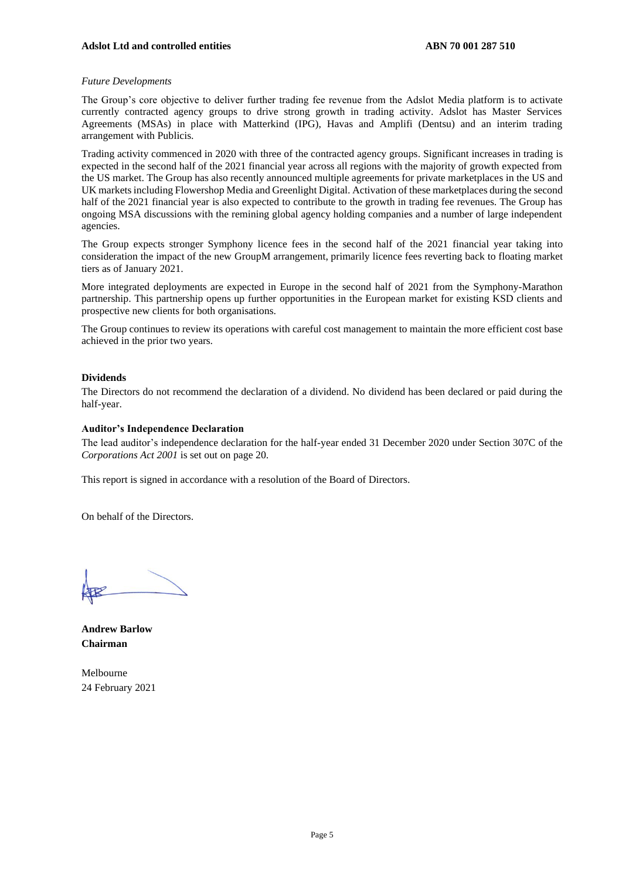#### *Future Developments*

The Group's core objective to deliver further trading fee revenue from the Adslot Media platform is to activate currently contracted agency groups to drive strong growth in trading activity. Adslot has Master Services Agreements (MSAs) in place with Matterkind (IPG), Havas and Amplifi (Dentsu) and an interim trading arrangement with Publicis.

Trading activity commenced in 2020 with three of the contracted agency groups. Significant increases in trading is expected in the second half of the 2021 financial year across all regions with the majority of growth expected from the US market. The Group has also recently announced multiple agreements for private marketplaces in the US and UK marketsincluding Flowershop Media and Greenlight Digital. Activation of these marketplaces during the second half of the 2021 financial year is also expected to contribute to the growth in trading fee revenues. The Group has ongoing MSA discussions with the remining global agency holding companies and a number of large independent agencies.

The Group expects stronger Symphony licence fees in the second half of the 2021 financial year taking into consideration the impact of the new GroupM arrangement, primarily licence fees reverting back to floating market tiers as of January 2021.

More integrated deployments are expected in Europe in the second half of 2021 from the Symphony-Marathon partnership. This partnership opens up further opportunities in the European market for existing KSD clients and prospective new clients for both organisations.

The Group continues to review its operations with careful cost management to maintain the more efficient cost base achieved in the prior two years.

#### **Dividends**

The Directors do not recommend the declaration of a dividend. No dividend has been declared or paid during the half-year.

#### **Auditor's Independence Declaration**

The lead auditor's independence declaration for the half-year ended 31 December 2020 under Section 307C of the *Corporations Act 2001* is set out on page 20.

This report is signed in accordance with a resolution of the Board of Directors.

On behalf of the Directors.

**Andrew Barlow Chairman**

Melbourne 24 February 2021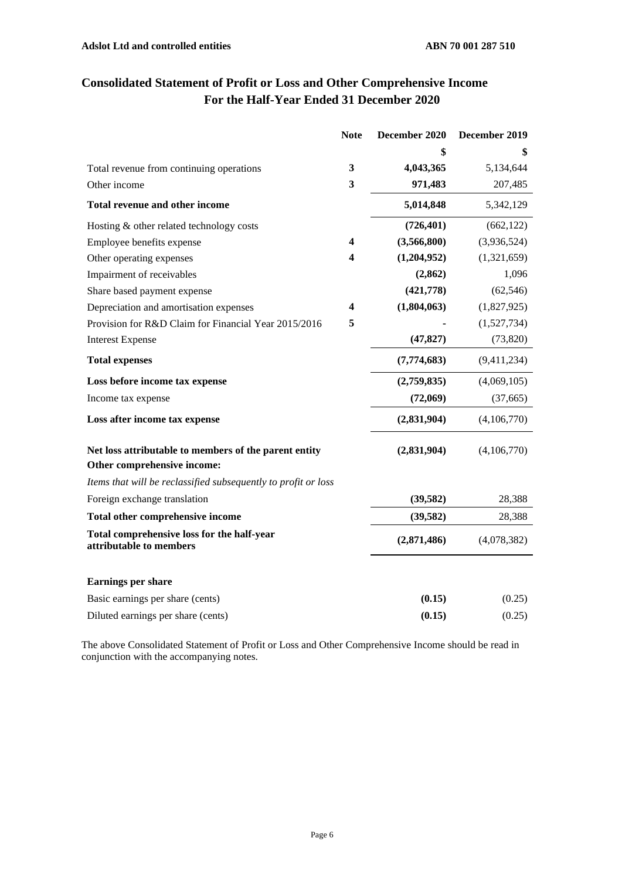|                                                                                      | <b>Note</b> | December 2020 | December 2019 |
|--------------------------------------------------------------------------------------|-------------|---------------|---------------|
|                                                                                      |             |               | \$            |
| Total revenue from continuing operations                                             | 3           | 4,043,365     | 5,134,644     |
| Other income                                                                         | 3           | 971,483       | 207,485       |
| <b>Total revenue and other income</b>                                                |             | 5,014,848     | 5,342,129     |
| Hosting & other related technology costs                                             |             | (726, 401)    | (662, 122)    |
| Employee benefits expense                                                            | 4           | (3,566,800)   | (3,936,524)   |
| Other operating expenses                                                             | 4           | (1,204,952)   | (1,321,659)   |
| Impairment of receivables                                                            |             | (2, 862)      | 1,096         |
| Share based payment expense                                                          |             | (421,778)     | (62, 546)     |
| Depreciation and amortisation expenses                                               | 4           | (1,804,063)   | (1,827,925)   |
| Provision for R&D Claim for Financial Year 2015/2016                                 | 5           |               | (1,527,734)   |
| <b>Interest Expense</b>                                                              |             | (47, 827)     | (73, 820)     |
| <b>Total expenses</b>                                                                |             | (7,774,683)   | (9,411,234)   |
| Loss before income tax expense                                                       |             | (2,759,835)   | (4,069,105)   |
| Income tax expense                                                                   |             | (72,069)      | (37,665)      |
| Loss after income tax expense                                                        |             | (2,831,904)   | (4,106,770)   |
| Net loss attributable to members of the parent entity<br>Other comprehensive income: |             | (2,831,904)   | (4,106,770)   |
| Items that will be reclassified subsequently to profit or loss                       |             |               |               |
| Foreign exchange translation                                                         |             | (39, 582)     | 28,388        |
| Total other comprehensive income                                                     |             | (39, 582)     | 28,388        |
| Total comprehensive loss for the half-year<br>attributable to members                |             | (2,871,486)   | (4,078,382)   |
| Earnings per share                                                                   |             |               |               |
| Basic earnings per share (cents)                                                     |             | (0.15)        | (0.25)        |
| Diluted earnings per share (cents)                                                   |             | (0.15)        | (0.25)        |

# **Consolidated Statement of Profit or Loss and Other Comprehensive Income For the Half-Year Ended 31 December 2020**

The above Consolidated Statement of Profit or Loss and Other Comprehensive Income should be read in conjunction with the accompanying notes.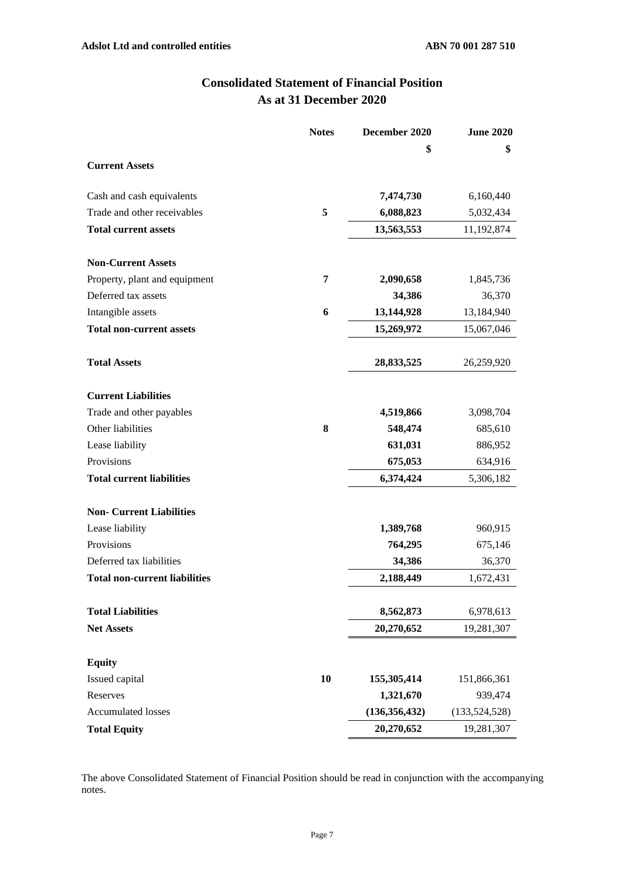| <b>Consolidated Statement of Financial Position</b> |  |
|-----------------------------------------------------|--|
| As at 31 December 2020                              |  |

|                                      | <b>Notes</b> | December 2020   | <b>June 2020</b> |
|--------------------------------------|--------------|-----------------|------------------|
|                                      |              | \$              | \$               |
| <b>Current Assets</b>                |              |                 |                  |
| Cash and cash equivalents            |              | 7,474,730       | 6,160,440        |
| Trade and other receivables          | 5            | 6,088,823       | 5,032,434        |
| <b>Total current assets</b>          |              | 13,563,553      | 11,192,874       |
| <b>Non-Current Assets</b>            |              |                 |                  |
| Property, plant and equipment        | 7            | 2,090,658       | 1,845,736        |
| Deferred tax assets                  |              | 34,386          | 36,370           |
| Intangible assets                    | 6            | 13,144,928      | 13,184,940       |
| <b>Total non-current assets</b>      |              | 15,269,972      | 15,067,046       |
| <b>Total Assets</b>                  |              | 28,833,525      | 26,259,920       |
| <b>Current Liabilities</b>           |              |                 |                  |
| Trade and other payables             |              | 4,519,866       | 3,098,704        |
| Other liabilities                    | 8            | 548,474         | 685,610          |
| Lease liability                      |              | 631,031         | 886,952          |
| Provisions                           |              | 675,053         | 634,916          |
| <b>Total current liabilities</b>     |              | 6,374,424       | 5,306,182        |
| <b>Non- Current Liabilities</b>      |              |                 |                  |
| Lease liability                      |              | 1,389,768       | 960,915          |
| Provisions                           |              | 764,295         | 675,146          |
| Deferred tax liabilities             |              | 34,386          | 36,370           |
| <b>Total non-current liabilities</b> |              | 2,188,449       | 1,672,431        |
| <b>Total Liabilities</b>             |              | 8,562,873       | 6,978,613        |
| <b>Net Assets</b>                    |              | 20,270,652      | 19,281,307       |
| <b>Equity</b>                        |              |                 |                  |
| Issued capital                       | 10           | 155,305,414     | 151,866,361      |
| Reserves                             |              | 1,321,670       | 939,474          |
| <b>Accumulated losses</b>            |              | (136, 356, 432) | (133, 524, 528)  |
| <b>Total Equity</b>                  |              | 20,270,652      | 19,281,307       |

The above Consolidated Statement of Financial Position should be read in conjunction with the accompanying notes.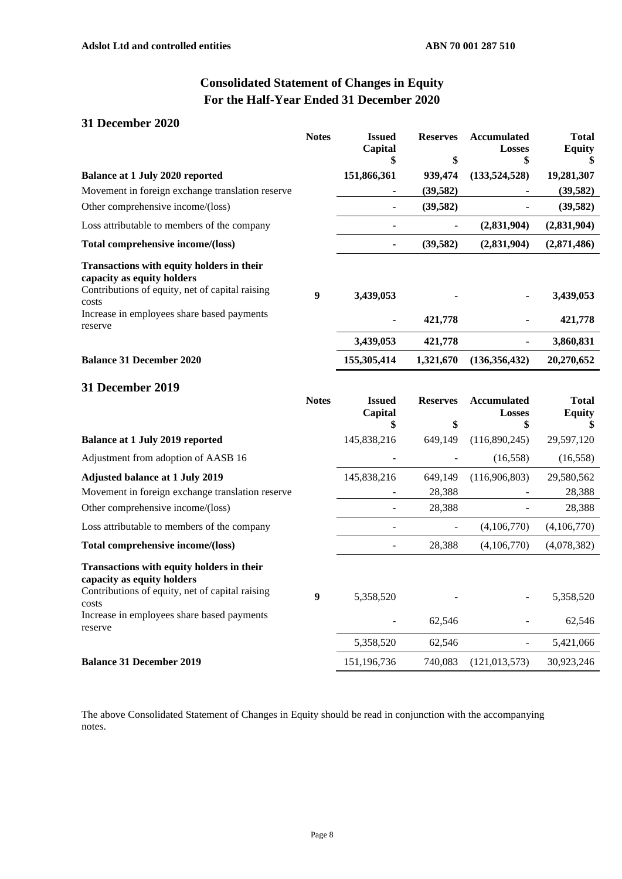# **Consolidated Statement of Changes in Equity For the Half-Year Ended 31 December 2020**

## **31 December 2020**

|                                                                                                                                                                                              | <b>Notes</b>     | <b>Issued</b><br>Capital<br>\$ | <b>Reserves</b><br>\$ | Accumulated<br><b>Losses</b><br>\$ | <b>Total</b><br><b>Equity</b> |
|----------------------------------------------------------------------------------------------------------------------------------------------------------------------------------------------|------------------|--------------------------------|-----------------------|------------------------------------|-------------------------------|
| <b>Balance at 1 July 2020 reported</b>                                                                                                                                                       |                  | 151,866,361                    | 939,474               | (133,524,528)                      | 19,281,307                    |
| Movement in foreign exchange translation reserve                                                                                                                                             |                  | ۰                              | (39, 582)             |                                    | (39, 582)                     |
| Other comprehensive income/(loss)                                                                                                                                                            |                  |                                | (39, 582)             |                                    | (39, 582)                     |
| Loss attributable to members of the company                                                                                                                                                  |                  |                                |                       | (2,831,904)                        | (2,831,904)                   |
| Total comprehensive income/(loss)                                                                                                                                                            |                  |                                | (39, 582)             | (2,831,904)                        | (2,871,486)                   |
| Transactions with equity holders in their<br>capacity as equity holders<br>Contributions of equity, net of capital raising<br>costs<br>Increase in employees share based payments            | $\boldsymbol{9}$ | 3,439,053                      |                       |                                    | 3,439,053                     |
| reserve                                                                                                                                                                                      |                  |                                | 421,778               |                                    | 421,778                       |
|                                                                                                                                                                                              |                  | 3,439,053                      | 421,778               | $\qquad \qquad \blacksquare$       | 3,860,831                     |
| <b>Balance 31 December 2020</b>                                                                                                                                                              |                  | 155,305,414                    | 1,321,670             | (136, 356, 432)                    | 20,270,652                    |
| <b>31 December 2019</b>                                                                                                                                                                      | <b>Notes</b>     | <b>Issued</b><br>Capital<br>\$ | <b>Reserves</b><br>\$ | <b>Accumulated</b><br>Losses<br>\$ | <b>Total</b><br><b>Equity</b> |
| <b>Balance at 1 July 2019 reported</b>                                                                                                                                                       |                  | 145,838,216                    | 649,149               | (116,890,245)                      | 29,597,120                    |
| Adjustment from adoption of AASB 16                                                                                                                                                          |                  |                                |                       | (16, 558)                          | (16, 558)                     |
| <b>Adjusted balance at 1 July 2019</b>                                                                                                                                                       |                  | 145,838,216                    | 649,149               | (116,906,803)                      | 29,580,562                    |
| Movement in foreign exchange translation reserve                                                                                                                                             |                  |                                | 28,388                |                                    | 28,388                        |
| Other comprehensive income/(loss)                                                                                                                                                            |                  | $\qquad \qquad \blacksquare$   | 28,388                |                                    | 28,388                        |
| Loss attributable to members of the company                                                                                                                                                  |                  | $\overline{a}$                 |                       | (4,106,770)                        | (4,106,770)                   |
| Total comprehensive income/(loss)                                                                                                                                                            |                  | $\blacksquare$                 | 28,388                | (4,106,770)                        | (4,078,382)                   |
| Transactions with equity holders in their<br>capacity as equity holders<br>Contributions of equity, net of capital raising<br>costs<br>Increase in employees share based payments<br>reserve | 9                | 5,358,520                      | 62,546                |                                    | 5,358,520<br>62,546           |
|                                                                                                                                                                                              |                  | 5,358,520                      | 62,546                |                                    | 5,421,066                     |
| <b>Balance 31 December 2019</b>                                                                                                                                                              |                  | 151,196,736                    | 740,083               | (121, 013, 573)                    | 30,923,246                    |

The above Consolidated Statement of Changes in Equity should be read in conjunction with the accompanying notes.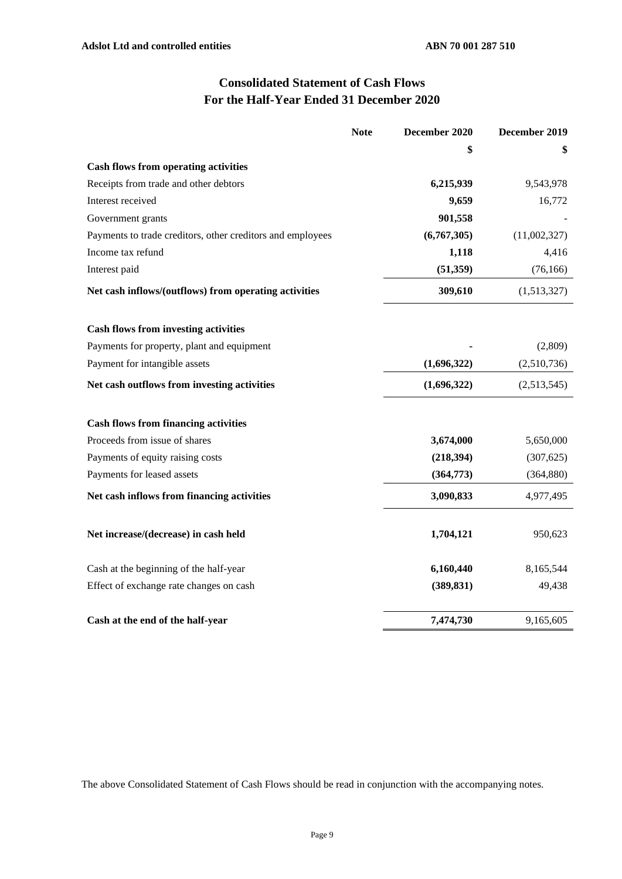# **Consolidated Statement of Cash Flows For the Half-Year Ended 31 December 2020**

|                                                            | <b>Note</b> | December 2020 | December 2019 |
|------------------------------------------------------------|-------------|---------------|---------------|
|                                                            |             | \$            | \$            |
| <b>Cash flows from operating activities</b>                |             |               |               |
| Receipts from trade and other debtors                      |             | 6,215,939     | 9,543,978     |
| Interest received                                          |             | 9,659         | 16,772        |
| Government grants                                          |             | 901,558       |               |
| Payments to trade creditors, other creditors and employees |             | (6,767,305)   | (11,002,327)  |
| Income tax refund                                          |             | 1,118         | 4,416         |
| Interest paid                                              |             | (51,359)      | (76, 166)     |
| Net cash inflows/(outflows) from operating activities      |             | 309,610       | (1,513,327)   |
| <b>Cash flows from investing activities</b>                |             |               |               |
| Payments for property, plant and equipment                 |             |               | (2,809)       |
| Payment for intangible assets                              |             | (1,696,322)   | (2,510,736)   |
| Net cash outflows from investing activities                |             | (1,696,322)   | (2,513,545)   |
| <b>Cash flows from financing activities</b>                |             |               |               |
| Proceeds from issue of shares                              |             | 3,674,000     | 5,650,000     |
| Payments of equity raising costs                           |             | (218, 394)    | (307, 625)    |
| Payments for leased assets                                 |             | (364,773)     | (364, 880)    |
| Net cash inflows from financing activities                 |             | 3,090,833     | 4,977,495     |
| Net increase/(decrease) in cash held                       |             | 1,704,121     | 950,623       |
| Cash at the beginning of the half-year                     |             | 6,160,440     | 8,165,544     |
| Effect of exchange rate changes on cash                    |             | (389, 831)    | 49,438        |
| Cash at the end of the half-year                           |             | 7,474,730     | 9,165,605     |

The above Consolidated Statement of Cash Flows should be read in conjunction with the accompanying notes.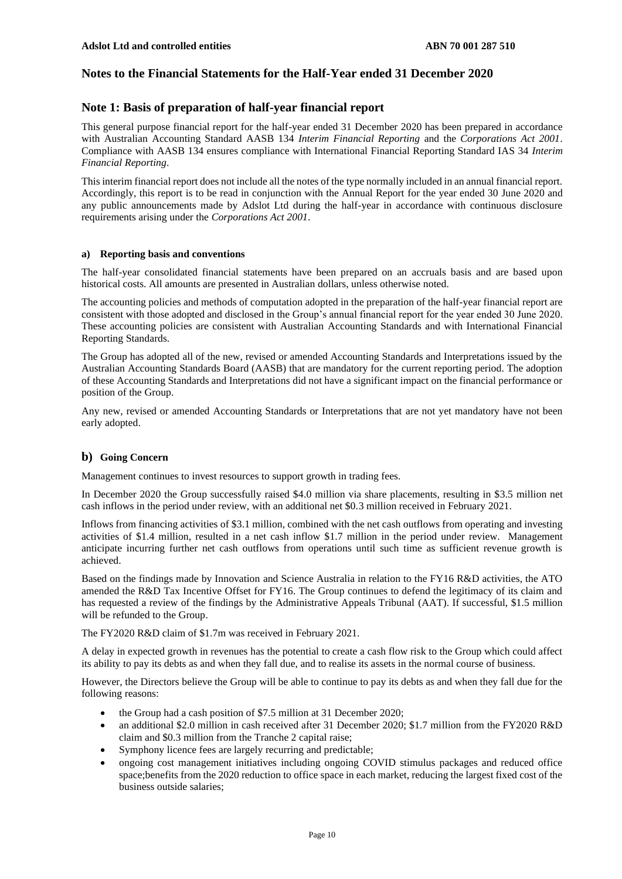## **Notes to the Financial Statements for the Half-Year ended 31 December 2020**

#### **Note 1: Basis of preparation of half-year financial report**

This general purpose financial report for the half-year ended 31 December 2020 has been prepared in accordance with Australian Accounting Standard AASB 134 *Interim Financial Reporting* and the *Corporations Act 2001*. Compliance with AASB 134 ensures compliance with International Financial Reporting Standard IAS 34 *Interim Financial Reporting*.

This interim financial report does not include all the notes of the type normally included in an annual financial report. Accordingly, this report is to be read in conjunction with the Annual Report for the year ended 30 June 2020 and any public announcements made by Adslot Ltd during the half-year in accordance with continuous disclosure requirements arising under the *Corporations Act 2001*.

#### **a) Reporting basis and conventions**

The half-year consolidated financial statements have been prepared on an accruals basis and are based upon historical costs. All amounts are presented in Australian dollars, unless otherwise noted.

The accounting policies and methods of computation adopted in the preparation of the half-year financial report are consistent with those adopted and disclosed in the Group's annual financial report for the year ended 30 June 2020. These accounting policies are consistent with Australian Accounting Standards and with International Financial Reporting Standards.

The Group has adopted all of the new, revised or amended Accounting Standards and Interpretations issued by the Australian Accounting Standards Board (AASB) that are mandatory for the current reporting period. The adoption of these Accounting Standards and Interpretations did not have a significant impact on the financial performance or position of the Group.

Any new, revised or amended Accounting Standards or Interpretations that are not yet mandatory have not been early adopted.

#### **b) Going Concern**

Management continues to invest resources to support growth in trading fees.

In December 2020 the Group successfully raised \$4.0 million via share placements, resulting in \$3.5 million net cash inflows in the period under review, with an additional net \$0.3 million received in February 2021.

Inflows from financing activities of \$3.1 million, combined with the net cash outflows from operating and investing activities of \$1.4 million, resulted in a net cash inflow \$1.7 million in the period under review. Management anticipate incurring further net cash outflows from operations until such time as sufficient revenue growth is achieved.

Based on the findings made by Innovation and Science Australia in relation to the FY16 R&D activities, the ATO amended the R&D Tax Incentive Offset for FY16. The Group continues to defend the legitimacy of its claim and has requested a review of the findings by the Administrative Appeals Tribunal (AAT). If successful, \$1.5 million will be refunded to the Group.

The FY2020 R&D claim of \$1.7m was received in February 2021.

A delay in expected growth in revenues has the potential to create a cash flow risk to the Group which could affect its ability to pay its debts as and when they fall due, and to realise its assets in the normal course of business.

However, the Directors believe the Group will be able to continue to pay its debts as and when they fall due for the following reasons:

- the Group had a cash position of \$7.5 million at 31 December 2020;
- an additional \$2.0 million in cash received after 31 December 2020; \$1.7 million from the FY2020 R&D claim and \$0.3 million from the Tranche 2 capital raise;
- Symphony licence fees are largely recurring and predictable;
- ongoing cost management initiatives including ongoing COVID stimulus packages and reduced office space;benefits from the 2020 reduction to office space in each market, reducing the largest fixed cost of the business outside salaries;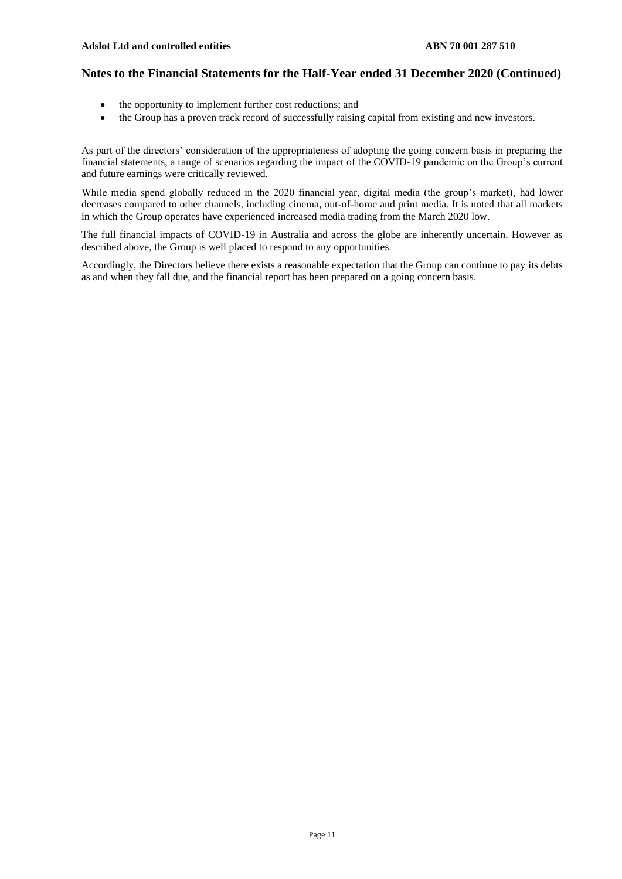- the opportunity to implement further cost reductions; and
- the Group has a proven track record of successfully raising capital from existing and new investors.

As part of the directors' consideration of the appropriateness of adopting the going concern basis in preparing the financial statements, a range of scenarios regarding the impact of the COVID-19 pandemic on the Group's current and future earnings were critically reviewed.

While media spend globally reduced in the 2020 financial year, digital media (the group's market), had lower decreases compared to other channels, including cinema, out-of-home and print media. It is noted that all markets in which the Group operates have experienced increased media trading from the March 2020 low.

The full financial impacts of COVID-19 in Australia and across the globe are inherently uncertain. However as described above, the Group is well placed to respond to any opportunities.

Accordingly, the Directors believe there exists a reasonable expectation that the Group can continue to pay its debts as and when they fall due, and the financial report has been prepared on a going concern basis.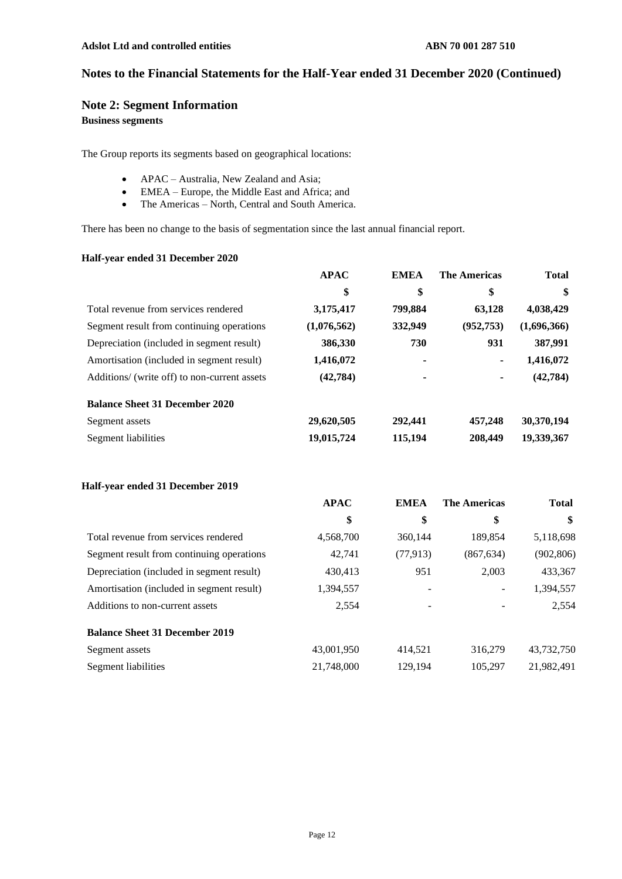## **Note 2: Segment Information**

## **Business segments**

The Group reports its segments based on geographical locations:

- APAC Australia, New Zealand and Asia;
- EMEA Europe, the Middle East and Africa; and
- The Americas North, Central and South America.

There has been no change to the basis of segmentation since the last annual financial report.

#### **Half-year ended 31 December 2020**

|                                              | <b>APAC</b> | <b>EMEA</b> | <b>The Americas</b> | <b>Total</b> |
|----------------------------------------------|-------------|-------------|---------------------|--------------|
|                                              | \$          | \$          | \$                  | \$           |
| Total revenue from services rendered         | 3,175,417   | 799,884     | 63,128              | 4,038,429    |
| Segment result from continuing operations    | (1,076,562) | 332,949     | (952, 753)          | (1,696,366)  |
| Depreciation (included in segment result)    | 386,330     | 730         | 931                 | 387,991      |
| Amortisation (included in segment result)    | 1,416,072   | ۰           | ۰                   | 1,416,072    |
| Additions/ (write off) to non-current assets | (42, 784)   | ۰           | ۰                   | (42, 784)    |
| <b>Balance Sheet 31 December 2020</b>        |             |             |                     |              |
| Segment assets                               | 29,620,505  | 292,441     | 457,248             | 30,370,194   |
| Segment liabilities                          | 19,015,724  | 115,194     | 208,449             | 19,339,367   |

## **Half-year ended 31 December 2019**

|                                           | <b>APAC</b> | <b>EMEA</b>       | <b>The Americas</b>      | <b>Total</b> |
|-------------------------------------------|-------------|-------------------|--------------------------|--------------|
|                                           | \$          | \$                | \$                       | \$           |
| Total revenue from services rendered      | 4,568,700   | 360,144           | 189.854                  | 5,118,698    |
| Segment result from continuing operations | 42,741      | (77, 913)         | (867, 634)               | (902, 806)   |
| Depreciation (included in segment result) | 430.413     | 951               | 2.003                    | 433,367      |
| Amortisation (included in segment result) | 1,394,557   | $\qquad \qquad -$ | $\overline{\phantom{0}}$ | 1,394,557    |
| Additions to non-current assets           | 2,554       | -                 |                          | 2,554        |
| <b>Balance Sheet 31 December 2019</b>     |             |                   |                          |              |
| Segment assets                            | 43,001,950  | 414.521           | 316,279                  | 43,732,750   |
| Segment liabilities                       | 21,748,000  | 129.194           | 105.297                  | 21,982,491   |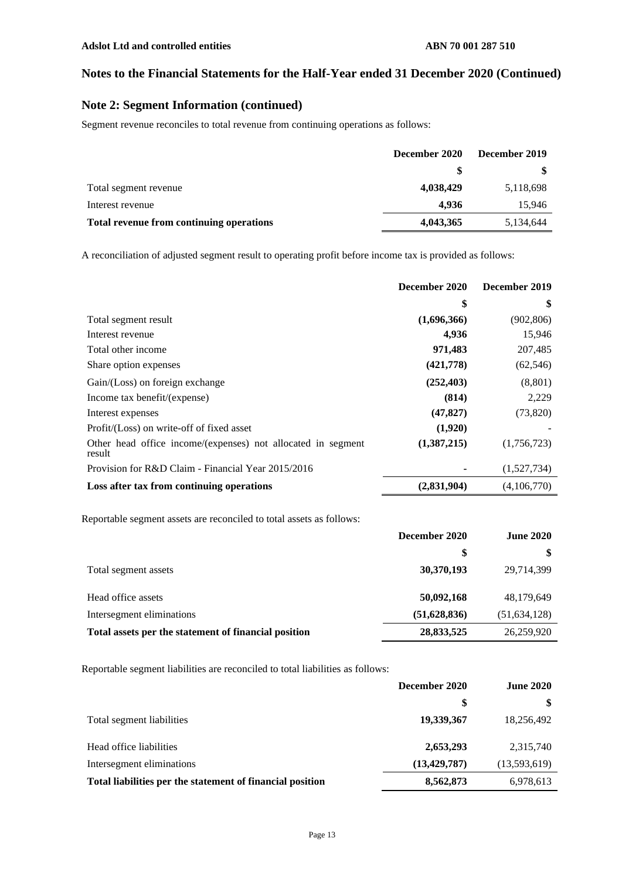## **Note 2: Segment Information (continued)**

Segment revenue reconciles to total revenue from continuing operations as follows:

|                                          | December 2019<br>December 2020 |           |
|------------------------------------------|--------------------------------|-----------|
|                                          | S                              |           |
| Total segment revenue                    | 4,038,429                      | 5,118,698 |
| Interest revenue                         | 4.936                          | 15,946    |
| Total revenue from continuing operations | 4,043,365                      | 5,134,644 |

A reconciliation of adjusted segment result to operating profit before income tax is provided as follows:

|                                                                        | December 2020 | December 2019 |
|------------------------------------------------------------------------|---------------|---------------|
|                                                                        | \$            | \$            |
| Total segment result                                                   | (1,696,366)   | (902, 806)    |
| Interest revenue                                                       | 4,936         | 15,946        |
| Total other income                                                     | 971,483       | 207,485       |
| Share option expenses                                                  | (421,778)     | (62, 546)     |
| Gain/(Loss) on foreign exchange                                        | (252, 403)    | (8, 801)      |
| Income tax benefit/(expense)                                           | (814)         | 2,229         |
| Interest expenses                                                      | (47, 827)     | (73, 820)     |
| Profit/(Loss) on write-off of fixed asset                              | (1,920)       |               |
| Other head office income/(expenses) not allocated in segment<br>result | (1,387,215)   | (1,756,723)   |
| Provision for R&D Claim - Financial Year 2015/2016                     | ٠             | (1,527,734)   |
| Loss after tax from continuing operations                              | (2,831,904)   | (4,106,770)   |

Reportable segment assets are reconciled to total assets as follows:

|                                                      | December 2020 | <b>June 2020</b> |
|------------------------------------------------------|---------------|------------------|
|                                                      | \$            |                  |
| Total segment assets                                 | 30,370,193    | 29,714,399       |
| Head office assets                                   | 50,092,168    | 48,179,649       |
| Intersegment eliminations                            | (51,628,836)  | (51, 634, 128)   |
| Total assets per the statement of financial position | 28,833,525    | 26,259,920       |

Reportable segment liabilities are reconciled to total liabilities as follows:

|                                                           | December 2020<br><b>June 2020</b> |              |
|-----------------------------------------------------------|-----------------------------------|--------------|
|                                                           | \$                                |              |
| Total segment liabilities                                 | 19,339,367                        | 18,256,492   |
| Head office liabilities                                   | 2,653,293                         | 2,315,740    |
| Intersegment eliminations                                 | (13, 429, 787)                    | (13,593,619) |
| Total liabilities per the statement of financial position | 8,562,873                         | 6,978,613    |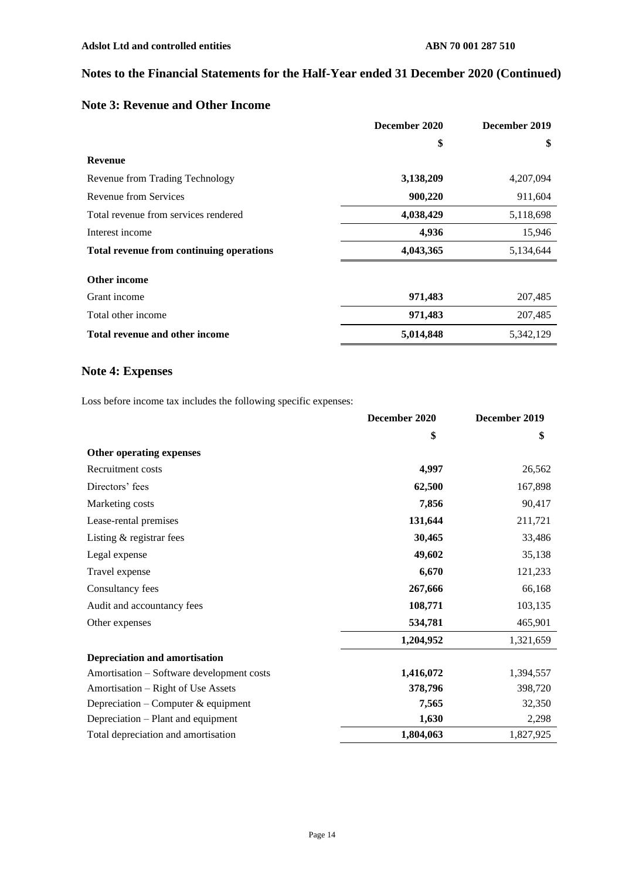## **Note 3: Revenue and Other Income**

|                                                 | December 2020 | December 2019 |
|-------------------------------------------------|---------------|---------------|
|                                                 | \$            | \$            |
| <b>Revenue</b>                                  |               |               |
| Revenue from Trading Technology                 | 3,138,209     | 4,207,094     |
| Revenue from Services                           | 900,220       | 911,604       |
| Total revenue from services rendered            | 4,038,429     | 5,118,698     |
| Interest income                                 | 4,936         | 15,946        |
| <b>Total revenue from continuing operations</b> | 4,043,365     | 5,134,644     |
| Other income                                    |               |               |
| Grant income                                    | 971,483       | 207,485       |
| Total other income                              | 971,483       | 207,485       |
| <b>Total revenue and other income</b>           | 5,014,848     | 5,342,129     |

## **Note 4: Expenses**

Loss before income tax includes the following specific expenses:

|                                           | December 2020 | December 2019 |
|-------------------------------------------|---------------|---------------|
|                                           | \$            | \$            |
| Other operating expenses                  |               |               |
| Recruitment costs                         | 4,997         | 26,562        |
| Directors' fees                           | 62,500        | 167,898       |
| Marketing costs                           | 7,856         | 90,417        |
| Lease-rental premises                     | 131,644       | 211,721       |
| Listing & registrar fees                  | 30,465        | 33,486        |
| Legal expense                             | 49,602        | 35,138        |
| Travel expense                            | 6,670         | 121,233       |
| Consultancy fees                          | 267,666       | 66,168        |
| Audit and accountancy fees                | 108,771       | 103,135       |
| Other expenses                            | 534,781       | 465,901       |
|                                           | 1,204,952     | 1,321,659     |
| <b>Depreciation and amortisation</b>      |               |               |
| Amortisation – Software development costs | 1,416,072     | 1,394,557     |
| Amortisation – Right of Use Assets        | 378,796       | 398,720       |
| Depreciation - Computer & equipment       | 7,565         | 32,350        |
| Depreciation – Plant and equipment        | 1,630         | 2,298         |
| Total depreciation and amortisation       | 1,804,063     | 1,827,925     |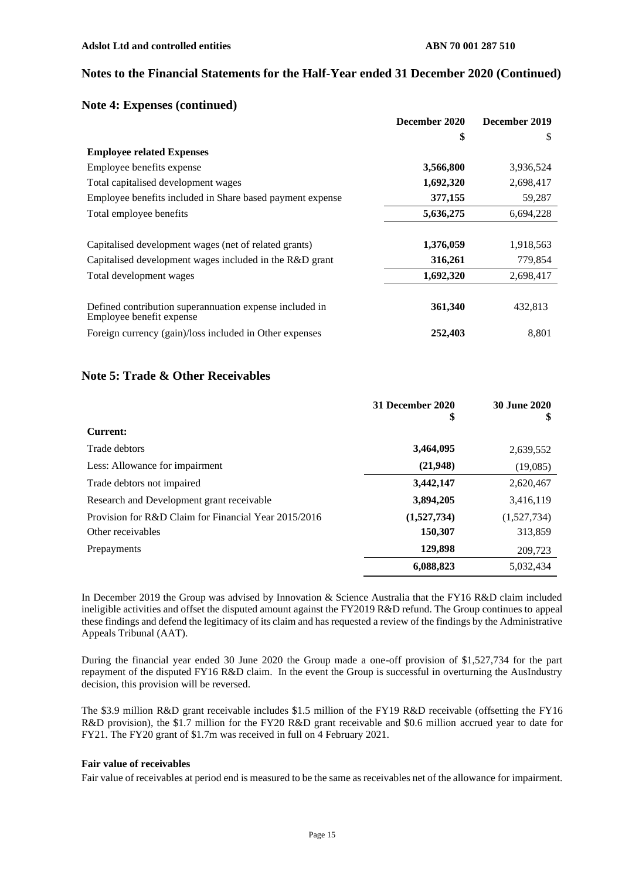#### **Note 4: Expenses (continued)**

|                                                                                     | December 2020 | December 2019 |
|-------------------------------------------------------------------------------------|---------------|---------------|
|                                                                                     | \$            | S             |
| <b>Employee related Expenses</b>                                                    |               |               |
| Employee benefits expense                                                           | 3,566,800     | 3,936,524     |
| Total capitalised development wages                                                 | 1,692,320     | 2,698,417     |
| Employee benefits included in Share based payment expense                           | 377,155       | 59,287        |
| Total employee benefits                                                             | 5,636,275     | 6,694,228     |
|                                                                                     |               |               |
| Capitalised development wages (net of related grants)                               | 1,376,059     | 1,918,563     |
| Capitalised development wages included in the R&D grant                             | 316,261       | 779,854       |
| Total development wages                                                             | 1,692,320     | 2,698,417     |
| Defined contribution superannuation expense included in<br>Employee benefit expense | 361,340       | 432,813       |
| Foreign currency (gain)/loss included in Other expenses                             | 252,403       | 8.801         |

## **Note 5: Trade & Other Receivables**

|                                                      | 31 December 2020<br>\$ | <b>30 June 2020</b><br>\$ |
|------------------------------------------------------|------------------------|---------------------------|
| Current:                                             |                        |                           |
| Trade debtors                                        | 3,464,095              | 2,639,552                 |
| Less: Allowance for impairment                       | (21,948)               | (19,085)                  |
| Trade debtors not impaired                           | 3,442,147              | 2,620,467                 |
| Research and Development grant receivable            | 3,894,205              | 3,416,119                 |
| Provision for R&D Claim for Financial Year 2015/2016 | (1,527,734)            | (1,527,734)               |
| Other receivables                                    | 150,307                | 313,859                   |
| Prepayments                                          | 129,898                | 209,723                   |
|                                                      | 6,088,823              | 5.032.434                 |

In December 2019 the Group was advised by Innovation & Science Australia that the FY16 R&D claim included ineligible activities and offset the disputed amount against the FY2019 R&D refund. The Group continues to appeal these findings and defend the legitimacy of its claim and has requested a review of the findings by the Administrative Appeals Tribunal (AAT).

During the financial year ended 30 June 2020 the Group made a one-off provision of \$1,527,734 for the part repayment of the disputed FY16 R&D claim. In the event the Group is successful in overturning the AusIndustry decision, this provision will be reversed.

The \$3.9 million R&D grant receivable includes \$1.5 million of the FY19 R&D receivable (offsetting the FY16 R&D provision), the \$1.7 million for the FY20 R&D grant receivable and \$0.6 million accrued year to date for FY21. The FY20 grant of \$1.7m was received in full on 4 February 2021.

#### **Fair value of receivables**

Fair value of receivables at period end is measured to be the same as receivables net of the allowance for impairment.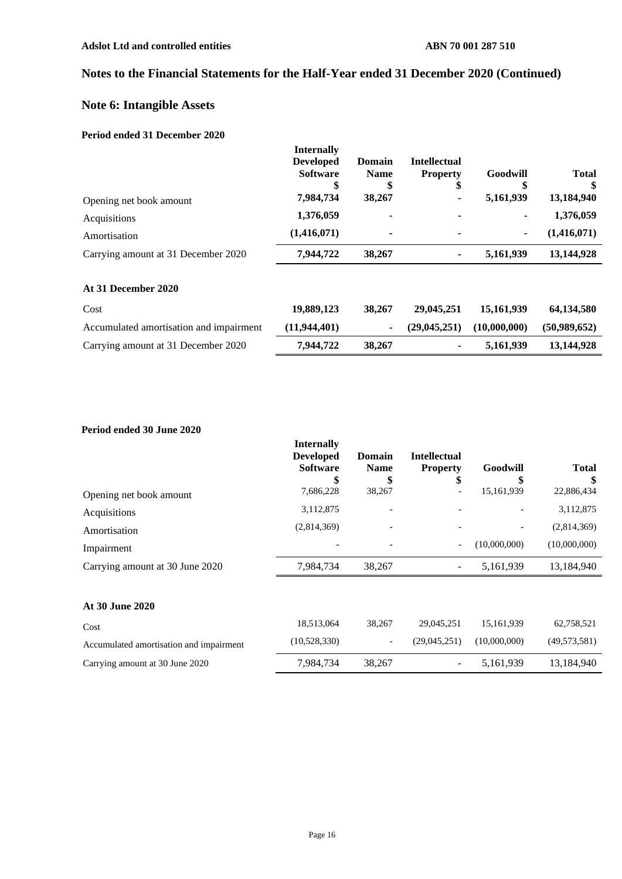# **Note 6: Intangible Assets**

#### **Period ended 31 December 2020**

|                                     | <b>Internally</b><br><b>Developed</b><br><b>Software</b><br>\$ | <b>Domain</b><br><b>Name</b><br>\$ | <b>Intellectual</b><br><b>Property</b><br>\$ | Goodwill  | <b>Total</b><br>\$ |
|-------------------------------------|----------------------------------------------------------------|------------------------------------|----------------------------------------------|-----------|--------------------|
| Opening net book amount             | 7,984,734                                                      | 38,267                             | ۰                                            | 5,161,939 | 13,184,940         |
| Acquisitions                        | 1,376,059                                                      | ٠                                  | ٠                                            | ٠         | 1,376,059          |
| Amortisation                        | (1,416,071)                                                    | ۰                                  | ٠                                            | ۰         | (1,416,071)        |
| Carrying amount at 31 December 2020 | 7,944,722                                                      | 38,267                             | ۰                                            | 5,161,939 | 13,144,928         |
| At 31 December 2020                 |                                                                |                                    |                                              |           |                    |

| Cost                                    | 19,889,123   | 38,267 | 29,045,251       | 15,161,939   | 64.134.580   |
|-----------------------------------------|--------------|--------|------------------|--------------|--------------|
| Accumulated amortisation and impairment | (11,944,401) |        | $-$ (29,045,251) | (10.000.000) | (50.989.652) |
| Carrying amount at 31 December 2020     | 7,944,722    | 38,267 | ۰                | 5.161.939    | 13,144,928   |

## **Period ended 30 June 2020**

|                                 | <b>Internally</b><br><b>Developed</b><br><b>Software</b><br>\$ | <b>Domain</b><br><b>Name</b> | <b>Intellectual</b><br><b>Property</b><br>\$ | Goodwill                 | <b>Total</b> |
|---------------------------------|----------------------------------------------------------------|------------------------------|----------------------------------------------|--------------------------|--------------|
| Opening net book amount         | 7,686,228                                                      | 38,267                       | -                                            | 15,161,939               | 22,886,434   |
| Acquisitions                    | 3,112,875                                                      |                              |                                              |                          | 3,112,875    |
| Amortisation                    | (2,814,369)                                                    | $\overline{\phantom{a}}$     |                                              | $\overline{\phantom{a}}$ | (2,814,369)  |
| Impairment                      | $\overline{\phantom{a}}$                                       | $\overline{\phantom{a}}$     | $\overline{\phantom{0}}$                     | (10,000,000)             | (10,000,000) |
| Carrying amount at 30 June 2020 | 7,984,734                                                      | 38,267                       | $\overline{\phantom{a}}$                     | 5,161,939                | 13,184,940   |
|                                 |                                                                |                              |                                              |                          |              |

#### **At 30 June 2020**

| Cost                                    | 18,513,064   | 38,267                   | 29.045.251   | 15.161.939   | 62,758,521   |
|-----------------------------------------|--------------|--------------------------|--------------|--------------|--------------|
| Accumulated amortisation and impairment | (10,528,330) | $\overline{\phantom{0}}$ | (29.045.251) | (10,000,000) | (49,573,581) |
| Carrying amount at 30 June 2020         | 7,984,734    | 38.267                   | $\sim$       | 5.161.939    | 13,184,940   |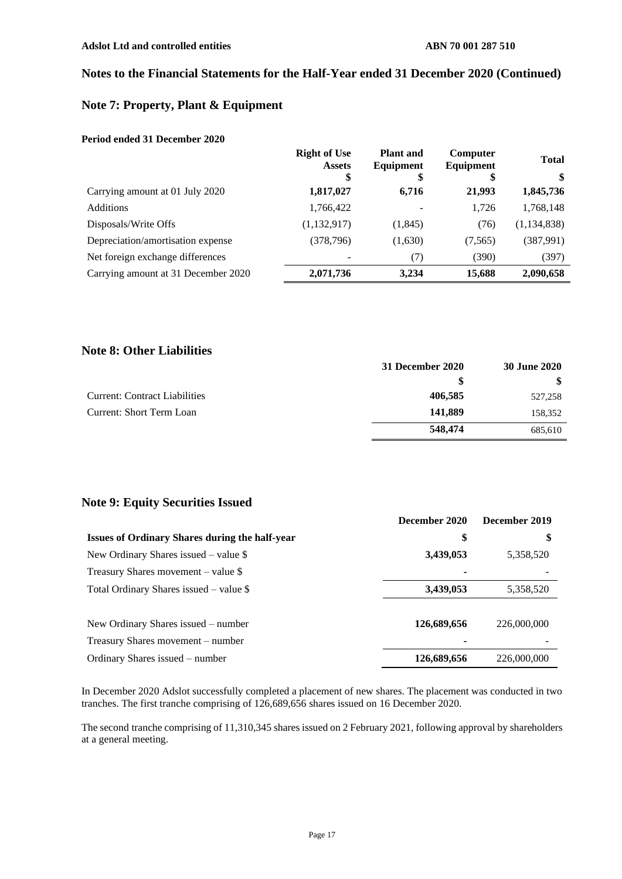## **Note 7: Property, Plant & Equipment**

#### **Period ended 31 December 2020**

|                                     | <b>Right of Use</b><br><b>Assets</b> | <b>Plant</b> and<br>Equipment | Computer<br>Equipment | <b>Total</b>  |
|-------------------------------------|--------------------------------------|-------------------------------|-----------------------|---------------|
|                                     | \$                                   | \$                            | \$                    | \$            |
| Carrying amount at 01 July 2020     | 1,817,027                            | 6,716                         | 21,993                | 1,845,736     |
| <b>Additions</b>                    | 1,766,422                            |                               | 1,726                 | 1,768,148     |
| Disposals/Write Offs                | (1,132,917)                          | (1, 845)                      | (76)                  | (1, 134, 838) |
| Depreciation/amortisation expense   | (378, 796)                           | (1,630)                       | (7,565)               | (387,991)     |
| Net foreign exchange differences    |                                      | (7)                           | (390)                 | (397)         |
| Carrying amount at 31 December 2020 | 2,071,736                            | 3,234                         | 15,688                | 2,090,658     |

## **Note 8: Other Liabilities**

|                                      | 31 December 2020 | 30 June 2020 |
|--------------------------------------|------------------|--------------|
|                                      | S                |              |
| <b>Current: Contract Liabilities</b> | 406,585          | 527,258      |
| Current: Short Term Loan             | 141,889          | 158,352      |
|                                      | 548,474          | 685.610      |

## **Note 9: Equity Securities Issued**

|                                                       | December 2020 | December 2019 |
|-------------------------------------------------------|---------------|---------------|
| <b>Issues of Ordinary Shares during the half-year</b> | \$            | \$            |
| New Ordinary Shares issued $-$ value \$               | 3,439,053     | 5,358,520     |
| Treasury Shares movement – value $\$                  |               |               |
| Total Ordinary Shares issued $-$ value \$             | 3,439,053     | 5,358,520     |
|                                                       |               |               |
| New Ordinary Shares issued – number                   | 126,689,656   | 226,000,000   |
| Treasury Shares movement – number                     |               |               |
| Ordinary Shares issued – number                       | 126,689,656   | 226,000,000   |

In December 2020 Adslot successfully completed a placement of new shares. The placement was conducted in two tranches. The first tranche comprising of 126,689,656 shares issued on 16 December 2020.

The second tranche comprising of 11,310,345 shares issued on 2 February 2021, following approval by shareholders at a general meeting.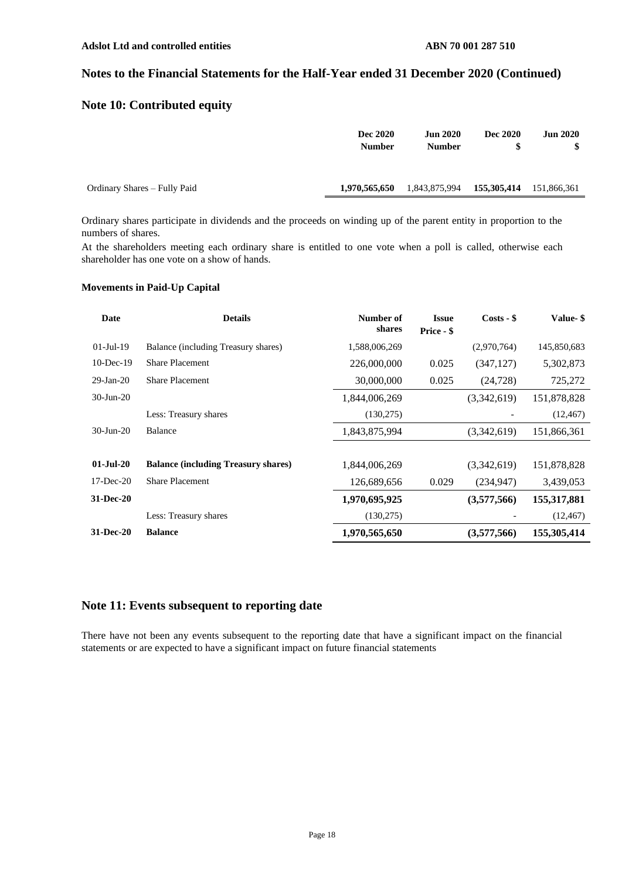## **Note 10: Contributed equity**

|                              | Dec 2020<br><b>Number</b> | <b>Jun 2020</b><br><b>Number</b> | <b>Dec 2020</b>         | <b>Jun 2020</b> |
|------------------------------|---------------------------|----------------------------------|-------------------------|-----------------|
| Ordinary Shares – Fully Paid | 1,970,565,650             | 1,843,875,994                    | 155,305,414 151,866,361 |                 |

Ordinary shares participate in dividends and the proceeds on winding up of the parent entity in proportion to the numbers of shares.

At the shareholders meeting each ordinary share is entitled to one vote when a poll is called, otherwise each shareholder has one vote on a show of hands.

#### **Movements in Paid-Up Capital**

| Date            | <b>Details</b>                             | Number of<br>shares | <b>Issue</b><br>Price - \$ | $Costs - $$ | Value- \$   |
|-----------------|--------------------------------------------|---------------------|----------------------------|-------------|-------------|
| $01-Jul-19$     | Balance (including Treasury shares)        | 1,588,006,269       |                            | (2,970,764) | 145,850,683 |
| $10$ -Dec-19    | <b>Share Placement</b>                     | 226,000,000         | 0.025                      | (347, 127)  | 5,302,873   |
| $29$ -Jan- $20$ | <b>Share Placement</b>                     | 30,000,000          | 0.025                      | (24, 728)   | 725,272     |
| $30$ -Jun-20    |                                            | 1,844,006,269       |                            | (3,342,619) | 151,878,828 |
|                 | Less: Treasury shares                      | (130,275)           |                            |             | (12, 467)   |
| $30 - Jun - 20$ | <b>Balance</b>                             | 1,843,875,994       |                            | (3,342,619) | 151,866,361 |
|                 |                                            |                     |                            |             |             |
| $01-Jul-20$     | <b>Balance (including Treasury shares)</b> | 1,844,006,269       |                            | (3,342,619) | 151,878,828 |
| $17 - Dec-20$   | <b>Share Placement</b>                     | 126,689,656         | 0.029                      | (234, 947)  | 3,439,053   |
| 31-Dec-20       |                                            | 1,970,695,925       |                            | (3,577,566) | 155,317,881 |
|                 | Less: Treasury shares                      | (130,275)           |                            |             | (12, 467)   |
| 31-Dec-20       | <b>Balance</b>                             | 1,970,565,650       |                            | (3,577,566) | 155,305,414 |

## **Note 11: Events subsequent to reporting date**

There have not been any events subsequent to the reporting date that have a significant impact on the financial statements or are expected to have a significant impact on future financial statements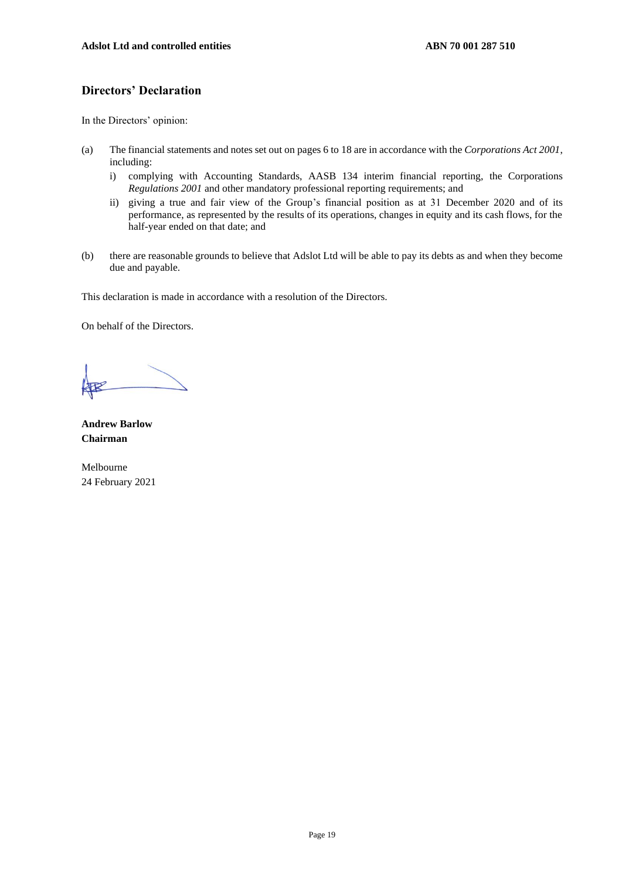## **Directors' Declaration**

In the Directors' opinion:

- (a) The financial statements and notes set out on pages 6 to 18 are in accordance with the *Corporations Act 2001*, including:
	- i) complying with Accounting Standards, AASB 134 interim financial reporting, the Corporations *Regulations 2001* and other mandatory professional reporting requirements; and
	- ii) giving a true and fair view of the Group's financial position as at 31 December 2020 and of its performance, as represented by the results of its operations, changes in equity and its cash flows, for the half-year ended on that date; and
- (b) there are reasonable grounds to believe that Adslot Ltd will be able to pay its debts as and when they become due and payable.

This declaration is made in accordance with a resolution of the Directors.

On behalf of the Directors.

**Andrew Barlow Chairman**

Melbourne 24 February 2021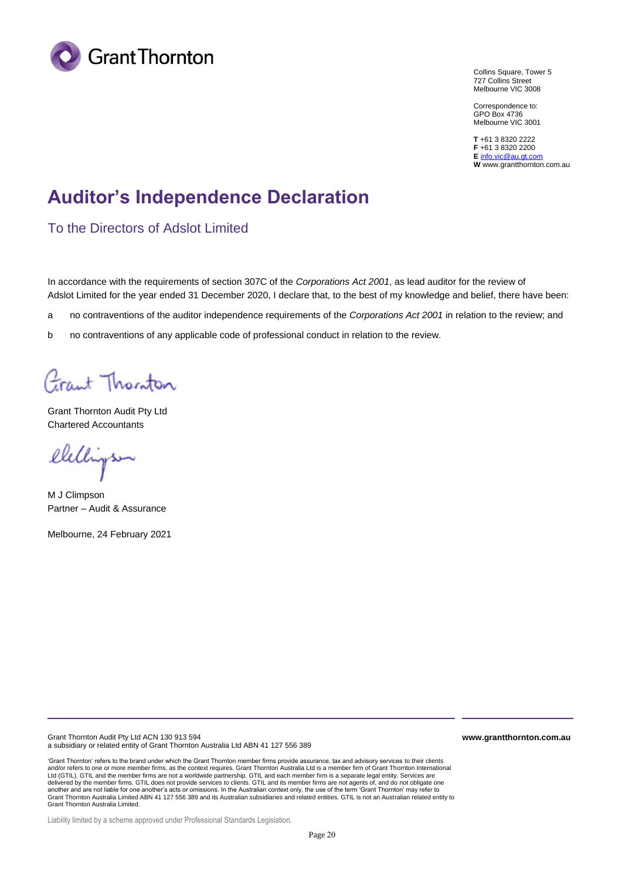

Collins Square, Tower 5 727 Collins Street Melbourne VIC 3008

Correspondence to: GPO Box 4736 Melbourne VIC 3001

**T** +61 3 8320 2222 **F** +61 3 8320 2200 **E** [info.vic@au.gt.com](mailto:info.vic@au.gt.com) **W** www.grantthornton.com.au

# **Auditor's Independence Declaration**

To the Directors of Adslot Limited

In accordance with the requirements of section 307C of the *Corporations Act 2001*, as lead auditor for the review of Adslot Limited for the year ended 31 December 2020, I declare that, to the best of my knowledge and belief, there have been:

- a no contraventions of the auditor independence requirements of the *Corporations Act 2001* in relation to the review; and
- b no contraventions of any applicable code of professional conduct in relation to the review.

Grant Thorston

Grant Thornton Audit Pty Ltd Chartered Accountants

elelligs

M J Climpson Partner – Audit & Assurance

Melbourne, 24 February 2021

Grant Thornton Audit Pty Ltd ACN 130 913 594 a subsidiary or related entity of Grant Thornton Australia Ltd ABN 41 127 556 389

'Grant Thornton' refers to the brand under which the Grant Thornton member firms provide assurance, tax and advisory services to their clients<br>and/or refers to one or more member firms, as the context requires. Grant Thorn Ltd (GTIL). GTIL and the member firms are not a worldwide partnership. GTIL and each member firm is a separate legal entity. Services are<br>delivered by the member firms. GTIL does not provide services to clients. GTIL and i another and are not liable for one another's acts or omissions. In the Australian context only, the use of the term 'Grant Thornton' may refer to Grant Thornton Australia Limited ABN 41 127 556 389 and its Australian subsidiaries and related entities. GTIL is not an Australian related entity to Grant Thornton Australia Limited.

**www.grantthornton.com.au**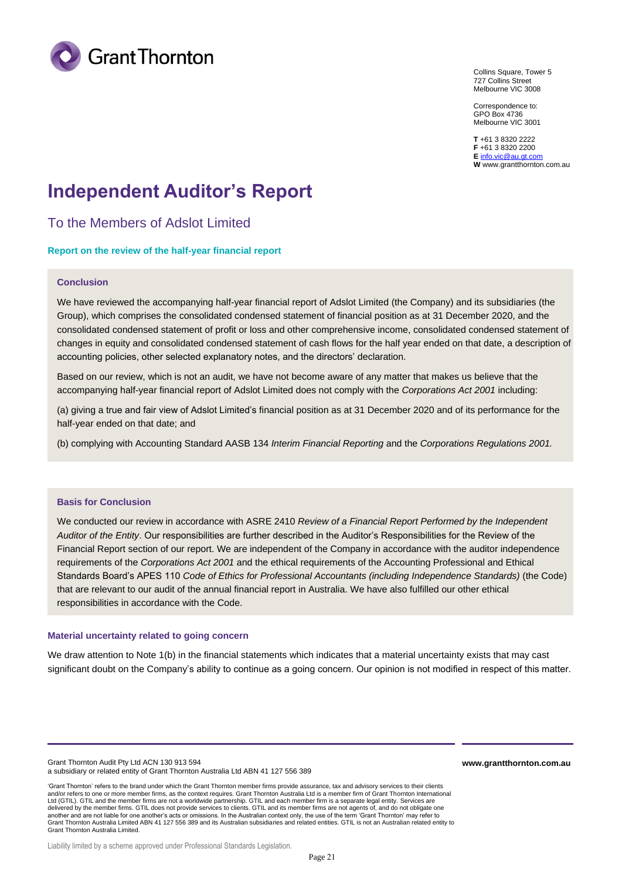

Collins Square, Tower 5 727 Collins Street Melbourne VIC 3008

Correspondence to: GPO Box 4736 Melbourne VIC 3001

**T** +61 3 8320 2222 **F** +61 3 8320 2200 **E** [info.vic@au.gt.com](mailto:info.vic@au.gt.com) **W** www.grantthornton.com.au

# **Independent Auditor's Report**

To the Members of Adslot Limited

#### **Report on the review of the half-year financial report**

#### **Conclusion**

We have reviewed the accompanying half-year financial report of Adslot Limited (the Company) and its subsidiaries (the Group), which comprises the consolidated condensed statement of financial position as at 31 December 2020, and the consolidated condensed statement of profit or loss and other comprehensive income, consolidated condensed statement of changes in equity and consolidated condensed statement of cash flows for the half year ended on that date, a description of accounting policies, other selected explanatory notes, and the directors' declaration.

Based on our review, which is not an audit, we have not become aware of any matter that makes us believe that the accompanying half-year financial report of Adslot Limited does not comply with the *Corporations Act 2001* including:

(a) giving a true and fair view of Adslot Limited's financial position as at 31 December 2020 and of its performance for the half-year ended on that date; and

(b) complying with Accounting Standard AASB 134 *Interim Financial Reporting* and the *Corporations Regulations 2001.*

#### **Basis for Conclusion**

We conducted our review in accordance with ASRE 2410 *Review of a Financial Report Performed by the Independent Auditor of the Entity*. Our responsibilities are further described in the Auditor's Responsibilities for the Review of the Financial Report section of our report. We are independent of the Company in accordance with the auditor independence requirements of the *Corporations Act 2001* and the ethical requirements of the Accounting Professional and Ethical Standards Board's APES 110 *Code of Ethics for Professional Accountants (including Independence Standards)* (the Code) that are relevant to our audit of the annual financial report in Australia. We have also fulfilled our other ethical responsibilities in accordance with the Code.

#### **Material uncertainty related to going concern**

We draw attention to Note 1(b) in the financial statements which indicates that a material uncertainty exists that may cast significant doubt on the Company's ability to continue as a going concern. Our opinion is not modified in respect of this matter.

Grant Thornton Audit Pty Ltd ACN 130 913 594 a subsidiary or related entity of Grant Thornton Australia Ltd ABN 41 127 556 389

'Grant Thornton' refers to the brand under which the Grant Thornton member firms provide assurance, tax and advisory services to their clients and/or refers to one or more member firms, as the context requires. Grant Thornton Australia Ltd is a member firm of Grant Thornton International Ltd (GTIL). GTIL and the member firms are not a worldwide partnership. GTIL and each member firm is a separate legal entity. Services are delivered by the member firms. GTIL does not provide services to clients. GTIL and its member firms are not agents of, and do not obligate one another and are not liable for one another's acts or omissions. In the Australian context only, the use of the term 'Grant Thornton' may refer to<br>Grant Thornton Australia Limited ABN 41 127 556 389 and its Australian subsi Grant Thornton Australia Limited.

**www.grantthornton.com.au**